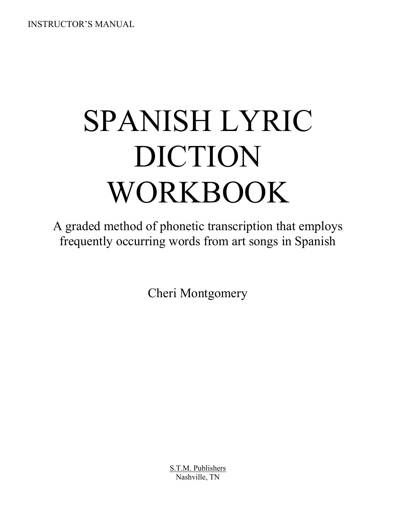INSTRUCTOR'S MANUAL

# SPANISH LYRIC DICTION WORKBOOK

A graded method of phonetic transcription that employs frequently occurring words from art songs in Spanish

Cheri Montgomery

S.T.M. Publishers Nashville, TN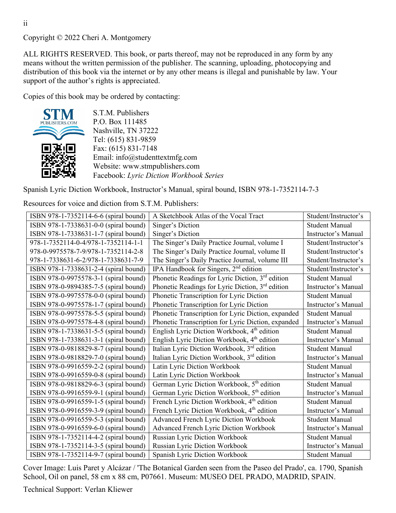Copyright © 2022 Cheri A. Montgomery

ALL RIGHTS RESERVED. This book, or parts thereof, may not be reproduced in any form by any means without the written permission of the publisher. The scanning, uploading, photocopying and distribution of this book via the internet or by any other means is illegal and punishable by law. Your support of the author's rights is appreciated.

Copies of this book may be ordered by contacting:



S.T.M. Publishers P.O. Box 111485 Nashville, TN 37222 Tel: (615) 831-9859 Fax: (615) 831-7148 Email: info@studenttextmfg.com Website: www.stmpublishers.com Facebook: *Lyric Diction Workbook Series*

Spanish Lyric Diction Workbook, Instructor's Manual, spiral bound, ISBN 978-1-7352114-7-3

Resources for voice and diction from S.T.M. Publishers:

| ISBN 978-1-7352114-6-6 (spiral bound) | A Sketchbook Atlas of the Vocal Tract                        | Student/Instructor's  |
|---------------------------------------|--------------------------------------------------------------|-----------------------|
| ISBN 978-1-7338631-0-0 (spiral bound) | Singer's Diction                                             | <b>Student Manual</b> |
| ISBN 978-1-7338631-1-7 (spiral bound) | Singer's Diction                                             | Instructor's Manual   |
| 978-1-7352114-0-4/978-1-7352114-1-1   | The Singer's Daily Practice Journal, volume I                | Student/Instructor's  |
| 978-0-9975578-7-9/978-1-7352114-2-8   | The Singer's Daily Practice Journal, volume II               | Student/Instructor's  |
| 978-1-7338631-6-2/978-1-7338631-7-9   | The Singer's Daily Practice Journal, volume III              | Student/Instructor's  |
| ISBN 978-1-7338631-2-4 (spiral bound) | IPA Handbook for Singers, 2 <sup>nd</sup> edition            | Student/Instructor's  |
| ISBN 978-0-9975578-3-1 (spiral bound) | Phonetic Readings for Lyric Diction, $3rd$ edition           | <b>Student Manual</b> |
| ISBN 978-0-9894385-7-5 (spiral bound) | Phonetic Readings for Lyric Diction, 3 <sup>rd</sup> edition | Instructor's Manual   |
| ISBN 978-0-9975578-0-0 (spiral bound) | Phonetic Transcription for Lyric Diction                     | <b>Student Manual</b> |
| ISBN 978-0-9975578-1-7 (spiral bound) | Phonetic Transcription for Lyric Diction                     | Instructor's Manual   |
| ISBN 978-0-9975578-5-5 (spiral bound) | Phonetic Transcription for Lyric Diction, expanded           | <b>Student Manual</b> |
| ISBN 978-0-9975578-4-8 (spiral bound) | Phonetic Transcription for Lyric Diction, expanded           | Instructor's Manual   |
| ISBN 978-1-7338631-5-5 (spiral bound) | English Lyric Diction Workbook, 4 <sup>th</sup> edition      | <b>Student Manual</b> |
| ISBN 978-1-7338631-3-1 (spiral bound) | English Lyric Diction Workbook, 4 <sup>th</sup> edition      | Instructor's Manual   |
| ISBN 978-0-9818829-8-7 (spiral bound) | Italian Lyric Diction Workbook, 3rd edition                  | <b>Student Manual</b> |
| ISBN 978-0-9818829-7-0 (spiral bound) | Italian Lyric Diction Workbook, 3rd edition                  | Instructor's Manual   |
| ISBN 978-0-9916559-2-2 (spiral bound) | Latin Lyric Diction Workbook                                 | <b>Student Manual</b> |
| ISBN 978-0-9916559-0-8 (spiral bound) | Latin Lyric Diction Workbook                                 | Instructor's Manual   |
| ISBN 978-0-9818829-6-3 (spiral bound) | German Lyric Diction Workbook, 5 <sup>th</sup> edition       | <b>Student Manual</b> |
| ISBN 978-0-9916559-9-1 (spiral bound) | German Lyric Diction Workbook, 5 <sup>th</sup> edition       | Instructor's Manual   |
| ISBN 978-0-9916559-1-5 (spiral bound) | French Lyric Diction Workbook, 4 <sup>th</sup> edition       | <b>Student Manual</b> |
| ISBN 978-0-9916559-3-9 (spiral bound) | French Lyric Diction Workbook, 4 <sup>th</sup> edition       | Instructor's Manual   |
| ISBN 978-0-9916559-5-3 (spiral bound) | Advanced French Lyric Diction Workbook                       | <b>Student Manual</b> |
| ISBN 978-0-9916559-6-0 (spiral bound) | Advanced French Lyric Diction Workbook                       | Instructor's Manual   |
| ISBN 978-1-7352114-4-2 (spiral bound) | Russian Lyric Diction Workbook                               | <b>Student Manual</b> |
| ISBN 978-1-7352114-3-5 (spiral bound) | Russian Lyric Diction Workbook                               | Instructor's Manual   |
| ISBN 978-1-7352114-9-7 (spiral bound) | Spanish Lyric Diction Workbook                               | <b>Student Manual</b> |

Cover Image: Luis Paret y Alcázar / 'The Botanical Garden seen from the Paseo del Prado', ca. 1790, Spanish School, Oil on panel, 58 cm x 88 cm, P07661. Museum: MUSEO DEL PRADO, MADRID, SPAIN.

Technical Support: Verlan Kliewer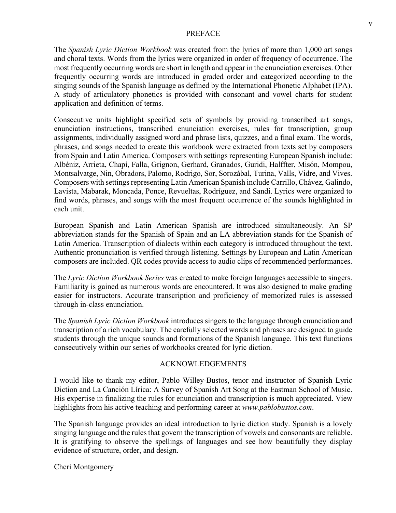#### PREFACE

The *Spanish Lyric Diction Workbook* was created from the lyrics of more than 1,000 art songs and choral texts. Words from the lyrics were organized in order of frequency of occurrence. The most frequently occurring words are short in length and appear in the enunciation exercises. Other frequently occurring words are introduced in graded order and categorized according to the singing sounds of the Spanish language as defined by the International Phonetic Alphabet (IPA). A study of articulatory phonetics is provided with consonant and vowel charts for student application and definition of terms.

Consecutive units highlight specified sets of symbols by providing transcribed art songs, enunciation instructions, transcribed enunciation exercises, rules for transcription, group assignments, individually assigned word and phrase lists, quizzes, and a final exam. The words, phrases, and songs needed to create this workbook were extracted from texts set by composers from Spain and Latin America. Composers with settings representing European Spanish include: Albéniz, Arrieta, Chapí, Falla, Grignon, Gerhard, Granados, Guridi, Halffter, Misón, Mompou, Montsalvatge, Nin, Obradors, Palomo, Rodrigo, Sor, Sorozábal, Turina, Valls, Vidre, and Vives. Composers with settings representing Latin American Spanish include Carrillo, Chávez, Galindo, Lavista, Mabarak, Moncada, Ponce, Revueltas, Rodríguez, and Sandi. Lyrics were organized to find words, phrases, and songs with the most frequent occurrence of the sounds highlighted in each unit.

European Spanish and Latin American Spanish are introduced simultaneously. An SP abbreviation stands for the Spanish of Spain and an LA abbreviation stands for the Spanish of Latin America. Transcription of dialects within each category is introduced throughout the text. Authentic pronunciation is verified through listening. Settings by European and Latin American composers are included. QR codes provide access to audio clips of recommended performances.

The *Lyric Diction Workbook Series* was created to make foreign languages accessible to singers. Familiarity is gained as numerous words are encountered. It was also designed to make grading easier for instructors. Accurate transcription and proficiency of memorized rules is assessed through in-class enunciation.

The *Spanish Lyric Diction Workbook* introduces singers to the language through enunciation and transcription of a rich vocabulary. The carefully selected words and phrases are designed to guide students through the unique sounds and formations of the Spanish language. This text functions consecutively within our series of workbooks created for lyric diction.

#### ACKNOWLEDGEMENTS

I would like to thank my editor, Pablo Willey-Bustos, tenor and instructor of Spanish Lyric Diction and La Canción Lírica: A Survey of Spanish Art Song at the Eastman School of Music. His expertise in finalizing the rules for enunciation and transcription is much appreciated. View highlights from his active teaching and performing career at *www.pablobustos.com*.

The Spanish language provides an ideal introduction to lyric diction study. Spanish is a lovely singing language and the rules that govern the transcription of vowels and consonants are reliable. It is gratifying to observe the spellings of languages and see how beautifully they display evidence of structure, order, and design.

Cheri Montgomery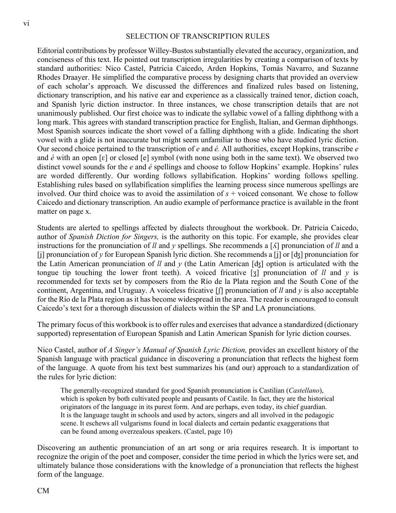#### SELECTION OF TRANSCRIPTION RULES

Editorial contributions by professor Willey-Bustos substantially elevated the accuracy, organization, and conciseness of this text. He pointed out transcription irregularities by creating a comparison of texts by standard authorities: Nico Castel, Patricia Caicedo, Arden Hopkins, Tomás Navarro, and Suzanne Rhodes Draayer. He simplified the comparative process by designing charts that provided an overview of each scholar's approach. We discussed the differences and finalized rules based on listening, dictionary transcription, and his native ear and experience as a classically trained tenor, diction coach, and Spanish lyric diction instructor. In three instances, we chose transcription details that are not unanimously published. Our first choice was to indicate the syllabic vowel of a falling diphthong with a long mark. This agrees with standard transcription practice for English, Italian, and German diphthongs. Most Spanish sources indicate the short vowel of a falling diphthong with a glide. Indicating the short vowel with a glide is not inaccurate but might seem unfamiliar to those who have studied lyric diction. Our second choice pertained to the transcription of *e* and *é.* All authorities, except Hopkins, transcribe *e*  and *é* with an open [ɛ] or closed [e] symbol (with none using both in the same text). We observed two distinct vowel sounds for the *e* and *é* spellings and choose to follow Hopkins' example. Hopkins' rules are worded differently. Our wording follows syllabification. Hopkins' wording follows spelling. Establishing rules based on syllabification simplifies the learning process since numerous spellings are involved. Our third choice was to avoid the assimilation of *s* + voiced consonant*.* We chose to follow Caicedo and dictionary transcription. An audio example of performance practice is available in the front matter on page x.

Students are alerted to spellings affected by dialects throughout the workbook. Dr. Patricia Caicedo, author of *Spanish Diction for Singers,* is the authority on this topic. For example, she provides clear instructions for the pronunciation of *ll* and *y* spellings. She recommends a [ʎ] pronunciation of *ll* and a [ʝ] pronunciation of *y* for European Spanish lyric diction. She recommends a [ʝ] or [ʤ] pronunciation for the Latin American pronunciation of *ll* and *y* (the Latin American [ʤ] option is articulated with the tongue tip touching the lower front teeth). A voiced fricative [ʒ] pronunciation of *ll* and *y* is recommended for texts set by composers from the Río de la Plata region and the South Cone of the continent, Argentina, and Uruguay. A voiceless fricative [ʃ] pronunciation of *ll* and *y* is also acceptable for the Río de la Plata region as it has become widespread in the area. The reader is encouraged to consult Caicedo's text for a thorough discussion of dialects within the SP and LA pronunciations.

The primary focus of this workbook is to offer rules and exercises that advance a standardized (dictionary supported) representation of European Spanish and Latin American Spanish for lyric diction courses.

Nico Castel, author of *A Singer's Manual of Spanish Lyric Diction,* provides an excellent history of the Spanish language with practical guidance in discovering a pronunciation that reflects the highest form of the language. A quote from his text best summarizes his (and our) approach to a standardization of the rules for lyric diction:

The generally-recognized standard for good Spanish pronunciation is Castilian (*Castellano*), which is spoken by both cultivated people and peasants of Castile. In fact, they are the historical originators of the language in its purest form. And are perhaps, even today, its chief guardian. It is the language taught in schools and used by actors, singers and all involved in the pedagogic scene. It eschews all vulgarisms found in local dialects and certain pedantic exaggerations that can be found among overzealous speakers. (Castel, page 10)

Discovering an authentic pronunciation of an art song or aria requires research. It is important to recognize the origin of the poet and composer, consider the time period in which the lyrics were set, and ultimately balance those considerations with the knowledge of a pronunciation that reflects the highest form of the language.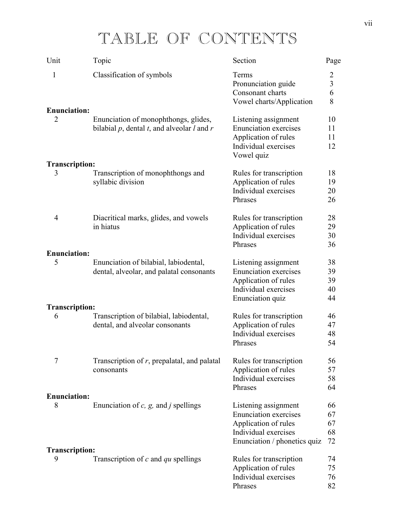# TABLE OF CONTENTS

| Unit                                  | Topic                                                                                        | Section                                                                                                                              | Page                                                |
|---------------------------------------|----------------------------------------------------------------------------------------------|--------------------------------------------------------------------------------------------------------------------------------------|-----------------------------------------------------|
| $\mathbf{1}$                          | Classification of symbols                                                                    | Terms<br>Pronunciation guide<br>Consonant charts<br>Vowel charts/Application                                                         | $\overline{c}$<br>$\overline{\mathbf{3}}$<br>6<br>8 |
| <b>Enunciation:</b><br>$\overline{2}$ | Enunciation of monophthongs, glides,<br>bilabial $p$ , dental $t$ , and alveolar $l$ and $r$ | Listening assignment<br><b>Enunciation exercises</b><br>Application of rules<br>Individual exercises<br>Vowel quiz                   | 10<br>11<br>11<br>12                                |
| <b>Transcription:</b>                 |                                                                                              |                                                                                                                                      |                                                     |
| 3                                     | Transcription of monophthongs and<br>syllabic division                                       | Rules for transcription<br>Application of rules<br>Individual exercises<br>Phrases                                                   | 18<br>19<br>20<br>26                                |
| $\overline{4}$                        | Diacritical marks, glides, and vowels<br>in hiatus                                           | Rules for transcription<br>Application of rules<br>Individual exercises<br>Phrases                                                   | 28<br>29<br>30<br>36                                |
| <b>Enunciation:</b>                   |                                                                                              |                                                                                                                                      |                                                     |
| 5                                     | Enunciation of bilabial, labiodental,<br>dental, alveolar, and palatal consonants            | Listening assignment<br><b>Enunciation exercises</b><br>Application of rules<br>Individual exercises<br>Enunciation quiz             | 38<br>39<br>39<br>40<br>44                          |
| <b>Transcription:</b>                 |                                                                                              |                                                                                                                                      |                                                     |
| 6                                     | Transcription of bilabial, labiodental,<br>dental, and alveolar consonants                   | Rules for transcription<br>Application of rules<br>Individual exercises<br>Phrases                                                   | 46<br>47<br>48<br>54                                |
| 7                                     | Transcription of $r$ , prepalatal, and palatal<br>consonants                                 | Rules for transcription<br>Application of rules<br>Individual exercises<br>Phrases                                                   | 56<br>57<br>58<br>64                                |
| <b>Enunciation:</b>                   |                                                                                              |                                                                                                                                      |                                                     |
| 8                                     | Enunciation of $c$ , $g$ , and $j$ spellings                                                 | Listening assignment<br><b>Enunciation exercises</b><br>Application of rules<br>Individual exercises<br>Enunciation / phonetics quiz | 66<br>67<br>67<br>68<br>72                          |
| <b>Transcription:</b><br>9            | Transcription of $c$ and $qu$ spellings                                                      | Rules for transcription                                                                                                              | 74                                                  |
|                                       |                                                                                              | Application of rules<br>Individual exercises<br>Phrases                                                                              | 75<br>76<br>82                                      |
|                                       |                                                                                              |                                                                                                                                      |                                                     |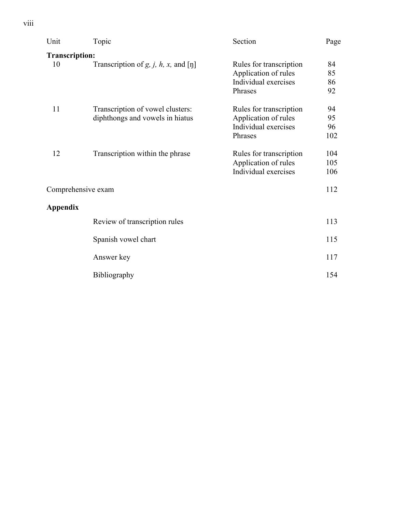| Unit                  | Topic                                            | Section                                      | Page       |
|-----------------------|--------------------------------------------------|----------------------------------------------|------------|
| <b>Transcription:</b> |                                                  |                                              |            |
| 10                    | Transcription of $g$ , $j$ , $h$ , $x$ , and [ŋ] | Rules for transcription                      | 84         |
|                       |                                                  | Application of rules<br>Individual exercises | 85<br>86   |
|                       |                                                  | Phrases                                      | 92         |
| 11                    | Transcription of vowel clusters:                 | Rules for transcription                      | 94         |
|                       | diphthongs and vowels in hiatus                  | Application of rules                         | 95         |
|                       |                                                  | Individual exercises<br>Phrases              | 96<br>102  |
|                       |                                                  |                                              |            |
| 12                    | Transcription within the phrase                  | Rules for transcription                      | 104        |
|                       |                                                  | Application of rules<br>Individual exercises | 105<br>106 |
|                       |                                                  |                                              |            |
| Comprehensive exam    |                                                  |                                              | 112        |
| <b>Appendix</b>       |                                                  |                                              |            |
|                       | Review of transcription rules                    |                                              | 113        |
|                       | Spanish vowel chart                              |                                              | 115        |
|                       | Answer key                                       |                                              | 117        |
|                       |                                                  |                                              |            |
|                       | Bibliography                                     |                                              | 154        |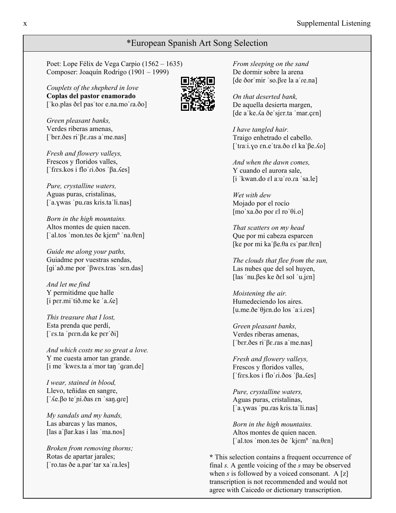#### \*European Spanish Art Song Selection

Poet: Lope Félix de Vega Carpio (1562 – 1635) Composer: Joaquín Rodrigo (1901 – 1999)

*Couplets of the shepherd in love* **Coplas del pastor enamorado** [ˈko.plas ðɛl pasˈtor e.na.moˈra.ðo]

*Green pleasant banks,* Verdes riberas amenas, [ˈbɛr.ðes riˈβɛ.ɾas aˈme.nas]

*Fresh and flowery valleys,* Frescos y floridos valles, [ˈfɾɛs.kos i floˈɾi.ðos ˈβa.ʎes]

*Pure, crystalline waters,* Aguas puras, cristalinas, [ˈa.ɣwas ˈpu.ɾas kɾis.taˈli.nas]

*Born in the high mountains.* Altos montes de quien nacen. ['al.tos 'mon.tes ðe kjɛm<sup>n</sup> 'na.θεn]

*Guide me along your paths,* Guiadme por vuestras sendas, [ɡiˈað.me por ˈβwɛs.tɾas ˈsɛn.das]

*And let me find* Y permitidme que halle [i pɛr.miˈtið.me ke ˈa.ʎe]

*This treasure that I lost,* Esta prenda que perdí, [ˈɛs.ta ˈpɾɛn.da ke pɛrˈði]

*And which costs me so great a love.* Y me cuesta amor tan grande. [i me ˈkwɛs.ta aˈmor taŋ ˈɡɾan.de]

*I wear, stained in blood,* Llevo, teñidas en sangre, [ˈʎe.βo teˈɲi.ðas ɛn ˈsaŋ.ɡɾe]

*My sandals and my hands,* Las abarcas y las manos, [las aˈβar.kas i las ˈma.nos]

*Broken from removing thorns;* Rotas de apartar jarales; [ˈro.tas ðe a.parˈtar xaˈɾa.les]



*From sleeping on the sand* De dormir sobre la arena [de ðorˈmir ˈso.βɾe la aˈɾe.na]

*On that deserted bank,* De aquella desierta margen, [de aˈke.ʎa ðeˈsjɛr.ta ˈmar.çɛn]

*I have tangled hair.* Traigo enhetrado el cabello. [ˈtɾaːi.ɣo ɛn.eˈtɾa.ðo ɛl kaˈβe.ʎo]

*And when the dawn comes,* Y cuando el aurora sale, [i ˈkwan.do ɛl aːuˈɾo.ɾa ˈsa.le]

*Wet with dew* Mojado por el rocío [moˈxa.ðo poɾ ɛl roˈθi.o]

*That scatters on my head* Que por mi cabeza esparcen [ke por mi kaˈβe.θa ɛsˈpar.θɛn]

*The clouds that flee from the sun,* Las nubes que del sol huyen, [las ˈnu.βes ke ðɛl sol ˈu.ʝɛn]

*Moistening the air.* Humedeciendo los aires. [u.me.ðeˈθjɛn.do los ˈaːi.ɾes]

*Green pleasant banks,* Verdes riberas amenas, [ˈbɛr.ðes riˈβɛ.ɾas aˈme.nas]

*Fresh and flowery valleys,* Frescos y floridos valles, [ˈfɾɛs.kos i floˈɾi.ðos ˈβa.ʎes]

*Pure, crystalline waters,* Aguas puras, cristalinas, [ˈa.ɣwas ˈpu.ɾas kɾis.taˈli.nas]

*Born in the high mountains.* Altos montes de quien nacen. ['al.tos 'mon.tes ðe 'kj $\epsilon$ m<sup>n</sup> 'na. $\theta$  $\epsilon$ n]

**\*** This selection contains a frequent occurrence of final *s.* A gentle voicing of the *s* may be observed when *s* is followed by a voiced consonant. A [z] transcription is not recommended and would not agree with Caicedo or dictionary transcription.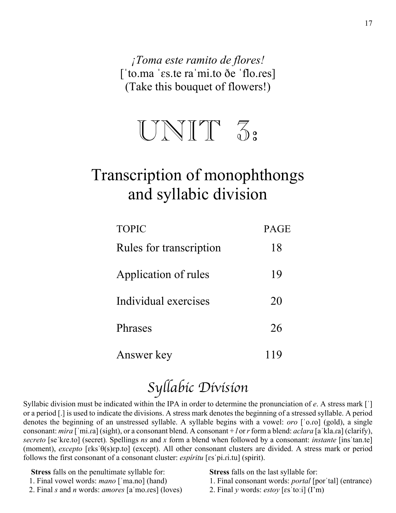*¡Toma este ramito de flores!* [ˈto.ma ˈɛs.te raˈmi.to ðe ˈflo.ɾes] (Take this bouquet of flowers!)



# Transcription of monophthongs and syllabic division

| <b>TOPIC</b>            | <b>PAGE</b> |
|-------------------------|-------------|
| Rules for transcription | 18          |
| Application of rules    | 19          |
| Individual exercises    | 20          |
| <b>Phrases</b>          | 26          |
| Answer key              | 119         |

# *Syllabic Division*

Syllabic division must be indicated within the IPA in order to determine the pronunciation of *e*. A stress mark [ˈ] or a period [.] is used to indicate the divisions. A stress mark denotes the beginning of a stressed syllable. A period denotes the beginning of an unstressed syllable. A syllable begins with a vowel: *oro* [ˈo.ɾo] (gold), a single consonant: *mira* [ˈmi.ɾa] (sight), or a consonant blend. A consonant + *l* or*r*form a blend: *aclara* [aˈkla.ɾa] (clarify), *secreto* [seˈkɾe.to] (secret)*.* Spellings *ns* and *x* form a blend when followed by a consonant: *instante* [insˈtan.te] (moment), *excepto* [ɛksˈθ(s)ɛp.to] (except). All other consonant clusters are divided. A stress mark or period follows the first consonant of a consonant cluster: *espíritu* [ɛsˈpi.ɾi.tu] (spirit).

 **Stress** falls on the penultimate syllable for:

- 1. Final vowel words: *mano* [ˈma.no] (hand)
- 2. Final *s* and *n* words: *amores* [aˈmo.ɾes] (loves)

**Stress** falls on the last syllable for:

- 1. Final consonant words: *portal* [porˈtal] (entrance)
- 2. Final *y* words: *estoy* [ɛsˈtoːi] (I'm)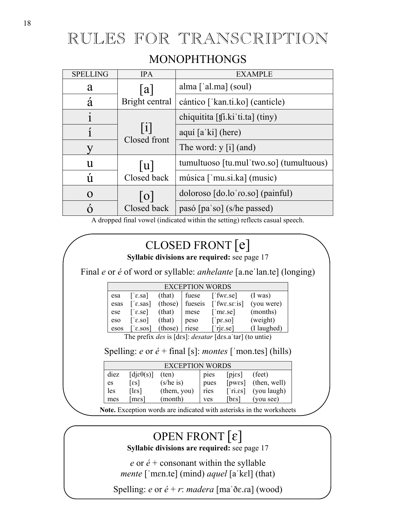# RULES FOR TRANSCRIPTION

#### MONOPHTHONGS

| <b>SPELLING</b> | <b>IPA</b>         | <b>EXAMPLE</b>                          |
|-----------------|--------------------|-----------------------------------------|
| a               | a                  | alma $\lceil$ 'al.ma $\rceil$ (soul)    |
| á               | Bright central     | cántico ['kan.ti.ko] (canticle)         |
|                 |                    | chiquitita [tʃi.ki ti.ta] (tiny)        |
| $\mathbf{1}$    | 1 <br>Closed front | aquí [a'ki] (here)                      |
|                 |                    | The word: y [i] (and)                   |
| u               | u                  | tumultuoso [tu.mul'two.so] (tumultuous) |
| Ú               | Closed back        | música ['mu.si.ka] (music)              |
| $\Omega$        | 0                  | doloroso [do.lo ro.so] (painful)        |
|                 | Closed back        | pasó [pa'so] (s/he passed)              |

A dropped final vowel (indicated within the setting) reflects casual speech.

# CLOSED FRONT [e]

**Syllabic divisions are required:** see page 17

Final *e* or *é* of word or syllable: *anhelante* [a.neˈlan.te] (longing)

| <b>EXCEPTION WORDS</b> |                                          |                  |                 |                        |                   |
|------------------------|------------------------------------------|------------------|-----------------|------------------------|-------------------|
| esa                    | $\lceil$ ' $\varepsilon$ .sa]            | $(this)$   fuese |                 | $[$ fwe.se]            | $(1 \text{ was})$ |
| esas                   | $\lceil$ 'e.sas]                         |                  | (those) fueseis | ['fwe.se:is]           | (you were)        |
| ese                    | $\lceil \text{e} \cdot \text{se} \rceil$ | (that)           | mese            | $\lceil$ me.se]        | (months)          |
| eso                    | $\lceil$ 'e.so]                          | (that)           | peso            | $\lceil$ pe.so]        | (weight)          |
| esos                   | $\lceil$ ' $\varepsilon$ .sos]           | (those)          | riese           | $[\nvert \text{rise}]$ | (I laughed)       |
|                        |                                          |                  |                 |                        |                   |

The prefix *des* is [dɛs]: *desatar* [dɛs.aˈtar] (to untie)

#### Spelling: *e* or *é* + final [s]: *montes* [ˈmon.tes] (hills)

|      | EXCEPTION WORDS                        |                |            |                 |              |  |
|------|----------------------------------------|----------------|------------|-----------------|--------------|--|
| diez | $\lceil \text{die}(\mathbf{s}) \rceil$ | $(\text{ten})$ | pies       | [pjes]          | (feet)       |  |
| es   | $\lceil \varepsilon s \rceil$          | (s/he is)      | pues       | [ <i>pwes</i> ] | (then, well) |  |
| les  | $\lceil \text{les} \rceil$             | (them, you)    | ríes       | $\lceil$ ri.ss] | (you laugh)  |  |
| mes  | ${\rm [mes]}$                          | (month)        | <b>ves</b> | [bɛs]           | (you see)    |  |

**Note.** Exception words are indicated with asterisks in the worksheets

# OPEN FRONT [ɛ]

**Syllabic divisions are required:** see page 17

 $e$  or  $\acute{e}$  + consonant within the syllable *mente* [ˈmɛn.te] (mind) *aquel* [aˈkɛl] (that)

Spelling: *e* or *é* + *r*: *madera* [maˈðɛ.ɾa] (wood)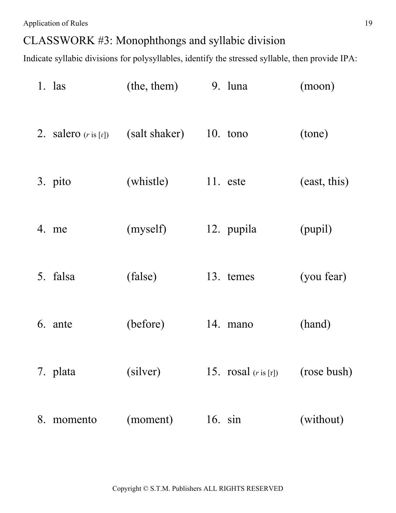### CLASSWORK #3: Monophthongs and syllabic division

|    | $1.$ las                        | (the, them)   | 9. luna                | (moon)       |
|----|---------------------------------|---------------|------------------------|--------------|
|    | 2. salero $(r \text{ is } [r])$ | (salt shaker) | $10.$ tono             | (tone)       |
|    | 3. pito                         | (whistle)     | 11. este               | (east, this) |
|    | 4. me                           | (myself)      | 12. pupila             | (pupil)      |
|    | 5. falsa                        | (false)       | 13. temes              | (you fear)   |
|    | 6. ante                         | (before)      | 14. mano               | (hand)       |
|    | 7. plata                        | (silver)      | 15. $rosal$ $(ris[r])$ | (rose bush)  |
| 8. | momento                         | (moment)      | 16. $sin$              | (without)    |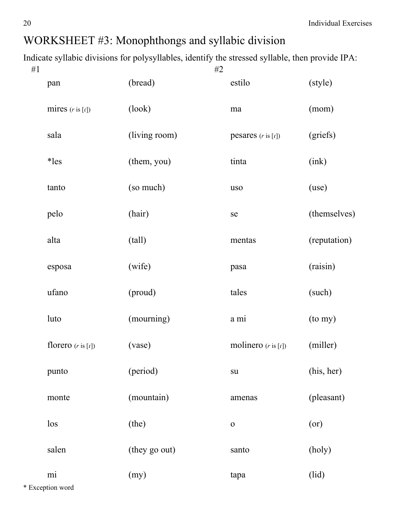| # $1$ |                               | #2            |                                |              |
|-------|-------------------------------|---------------|--------------------------------|--------------|
|       | pan                           | (bread)       | estilo                         | (style)      |
|       | mires $(r \text{ is } [r])$   | (look)        | ma                             | (mom)        |
|       | sala                          | (living room) | pesares $(r \text{ is } [r])$  | (griefs)     |
|       | $*les$                        | (them, you)   | tinta                          | (ink)        |
|       | tanto                         | (so much)     | uso                            | (use)        |
|       | pelo                          | (hair)        | se                             | (themselves) |
|       | alta                          | (tall)        | mentas                         | (reputation) |
|       | esposa                        | (wife)        | pasa                           | (raisin)     |
|       | ufano                         | (proud)       | tales                          | (such)       |
|       | luto                          | (mourning)    | a mi                           | (to my)      |
|       | florero $(r \text{ is } [r])$ | (vase)        | molinero $(r \text{ is } [r])$ | (miller)     |
|       | punto                         | (period)      | su                             | (his, her)   |
|       | monte                         | (mountain)    | amenas                         | (pleasant)   |
|       | $\log$                        | (the)         | $\mathbf 0$                    | (or)         |
|       | salen                         | (they go out) | santo                          | (holy)       |
|       | mi                            | (my)          | tapa                           | (lid)        |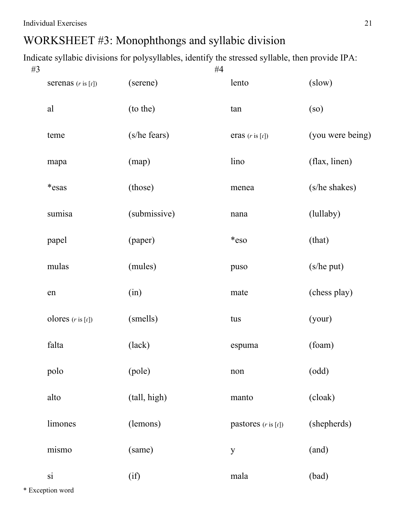| #3 |                               |              | #4 |                                |                  |
|----|-------------------------------|--------------|----|--------------------------------|------------------|
|    | serenas $(r \text{ is } [r])$ | (serene)     |    | lento                          | (slow)           |
|    | al                            | (to the)     |    | tan                            | (so)             |
|    | teme                          | (s/he fears) |    | eras $(r \text{ is } [r])$     | (you were being) |
|    | mapa                          | (map)        |    | lino                           | (flax, linen)    |
|    | *esas                         | (those)      |    | menea                          | (s/he shakes)    |
|    | sumisa                        | (submissive) |    | nana                           | (lullaby)        |
|    | papel                         | (paper)      |    | *eso                           | (that)           |
|    | mulas                         | (mules)      |    | puso                           | (s/he put)       |
|    | en                            | (in)         |    | mate                           | (chess play)     |
|    | olores $(r \text{ is } [r])$  | (smells)     |    | tus                            | (your)           |
|    | falta                         | (lack)       |    | espuma                         | (foam)           |
|    | polo                          | (pole)       |    | non                            | (odd)            |
|    | alto                          | (tall, high) |    | manto                          | (cloak)          |
|    | limones                       | (lemons)     |    | pastores $(r \text{ is } [r])$ | (shepherds)      |
|    | mismo                         | (same)       |    | y                              | (and)            |
|    | $\overline{\mathbf{s}}$       | (i)          |    | mala                           | (bad)            |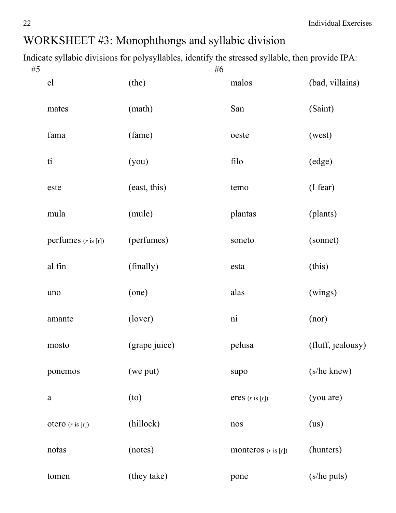| #5 |                                |               | #6 |                                |                   |
|----|--------------------------------|---------------|----|--------------------------------|-------------------|
|    | el                             | (the)         |    | malos                          | (bad, villains)   |
|    | mates                          | (math)        |    | San                            | (Saint)           |
|    | fama                           | (fame)        |    | oeste                          | (west)            |
|    | ti                             | (you)         |    | filo                           | (edge)            |
|    | este                           | (east, this)  |    | temo                           | (I fear)          |
|    | mula                           | (mule)        |    | plantas                        | (plants)          |
|    | perfumes $(r \text{ is } [r])$ | (perfumes)    |    | soneto                         | (sonnet)          |
|    | al fin                         | (finally)     |    | esta                           | (this)            |
|    | uno                            | (one)         |    | alas                           | (wings)           |
|    | amante                         | (lover)       |    | $\overline{\text{ni}}$         | (nor)             |
|    | mosto                          | (grape juice) |    | pelusa                         | (fluff, jealousy) |
|    | ponemos                        | (we put)      |    | supo                           | (s/he knew)       |
|    | $\rm{a}$                       | (to)          |    | eres $(r \text{ is } [r])$     | (you are)         |
|    | otero $(r \text{ is } [r])$    | (hillock)     |    | nos                            | (us)              |
|    | notas                          | (notes)       |    | monteros $(r \text{ is } [r])$ | (hunters)         |
|    | tomen                          | (they take)   |    | pone                           | (s/he puts)       |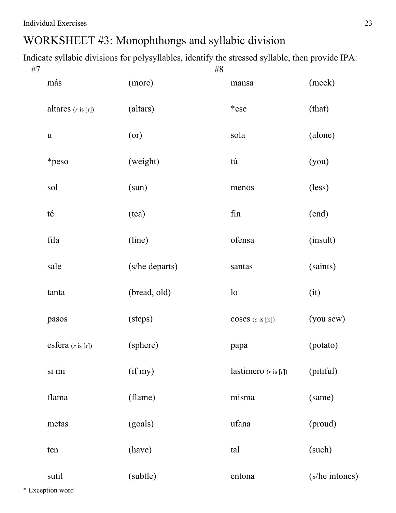Indicate syllabic divisions for polysyllables, identify the stressed syllable, then provide IPA:

| #7 |                               | $\#8$          |                                 |                |
|----|-------------------------------|----------------|---------------------------------|----------------|
|    | más                           | (more)         | mansa                           | (meek)         |
|    | altares $(r \text{ is } [r])$ | (altars)       | *ese                            | (that)         |
|    | $\mathbf u$                   | (or)           | sola                            | (alone)        |
|    | *peso                         | (weight)       | tú                              | (you)          |
|    | sol                           | (sun)          | menos                           | (less)         |
|    | té                            | (tea)          | fin                             | (end)          |
|    | fila                          | (line)         | ofensa                          | (insult)       |
|    | sale                          | (s/he departs) | santas                          | (saints)       |
|    | tanta                         | (bread, old)   | $\log$                          | (it)           |
|    | pasos                         | (steps)        | $\csc(c \text{ is } [k])$       | (you sew)      |
|    | esfera $(r \text{ is } [r])$  | (sphere)       | papa                            | (potato)       |
|    | si mi                         | (if my)        | lastimero $(r \text{ is } [r])$ | (pitiful)      |
|    | flama                         | (flame)        | misma                           | (same)         |
|    | metas                         | (goals)        | ufana                           | (proud)        |
|    | ten                           | (have)         | tal                             | (such)         |
|    | sutil                         | (subtle)       | entona                          | (s/he intones) |

\* Exception word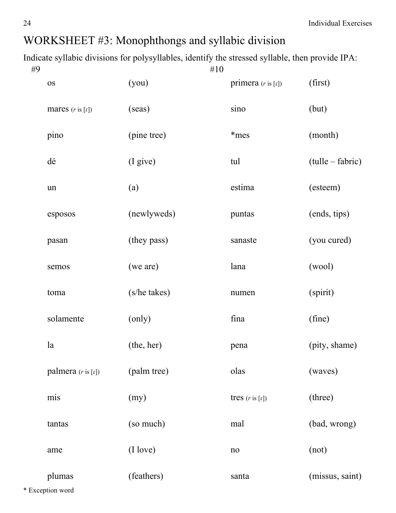Indicate syllabic divisions for polysyllables, identify the stressed syllable, then provide IPA:

| #9 |                               |              | $\#10$ |                               |                  |
|----|-------------------------------|--------------|--------|-------------------------------|------------------|
|    | <b>OS</b>                     | (you)        |        | primera $(r \text{ is } [r])$ | (first)          |
|    | mares $(r \text{ is } [r])$   | (seas)       |        | sino                          | (but)            |
|    | pino                          | (pine tree)  |        | *mes                          | (month)          |
|    | dé                            | (I give)     |        | tul                           | (tulle – fabric) |
|    | un                            | (a)          |        | estima                        | (esteem)         |
|    | esposos                       | (newlyweds)  |        | puntas                        | (ends, tips)     |
|    | pasan                         | (they pass)  |        | sanaste                       | (you cured)      |
|    | semos                         | (we are)     |        | lana                          | (wool)           |
|    | toma                          | (s/he takes) |        | numen                         | (spirit)         |
|    | solamente                     | (only)       |        | fina                          | (fine)           |
|    | la                            | (the, her)   |        | pena                          | (pity, shame)    |
|    | palmera $(r \text{ is } [r])$ | (palm tree)  |        | olas                          | (waves)          |
|    | mis                           | (my)         |        | tres $(r \text{ is } [r])$    | (three)          |
|    | tantas                        | (so much)    |        | mal                           | (bad, wrong)     |
|    | ame                           | (I love)     |        | no                            | (not)            |
|    | plumas                        | (feathers)   |        | santa                         | (missus, saint)  |

\* Exception word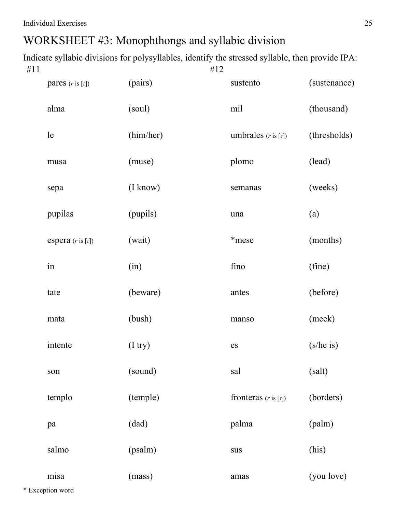| pares $(r \text{ is } [r])$  | (pairs)      | sustento                        | (sustenance) |
|------------------------------|--------------|---------------------------------|--------------|
| alma                         | (soul)       | mil                             | (thousand)   |
| le                           | (him/her)    | umbrales $(r \text{ is } [r])$  | (thresholds) |
| musa                         | (muse)       | plomo                           | (lead)       |
| sepa                         | (I know)     | semanas                         | (weeks)      |
| pupilas                      | (pupils)     | una                             | (a)          |
| espera $(r \text{ is } [r])$ | (wait)       | *mese                           | (months)     |
| in                           | (in)         | fino                            | (fine)       |
| tate                         | (beware)     | antes                           | (before)     |
| mata                         | (bush)       | manso                           | (meek)       |
| intente                      | $(I$ try $)$ | es                              | (s/he is)    |
| son                          | (sound)      | sal                             | (salt)       |
| templo                       | (temple)     | fronteras $(r \text{ is } [r])$ | (borders)    |
| pa                           | (dad)        | palma                           | (palm)       |
| salmo                        | (psalm)      | sus                             | (his)        |
| misa                         | (mass)       | amas                            | (you love)   |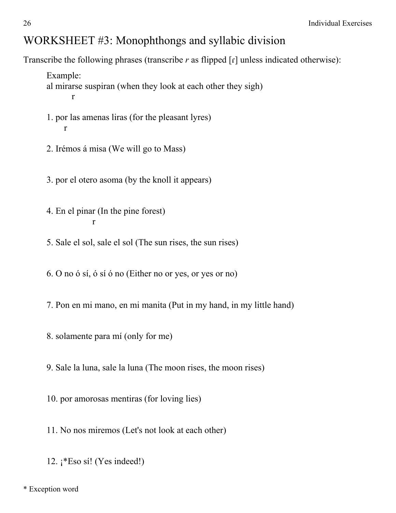Transcribe the following phrases (transcribe *r* as flipped [ɾ] unless indicated otherwise):

Example: al mirarse suspiran (when they look at each other they sigh) r

- 1. por las amenas liras (for the pleasant lyres) r
	- 2. Irémos á misa (We will go to Mass)

3. por el otero asoma (by the knoll it appears)

- 4. En el pinar (In the pine forest) r
- 5. Sale el sol, sale el sol (The sun rises, the sun rises)

6. O no ó sí, ó sí ó no (Either no or yes, or yes or no)

7. Pon en mi mano, en mi manita (Put in my hand, in my little hand)

8. solamente para mí (only for me)

9. Sale la luna, sale la luna (The moon rises, the moon rises)

10. por amorosas mentiras (for loving lies)

11. No nos miremos (Let's not look at each other)

12. ¡\*Eso sí! (Yes indeed!)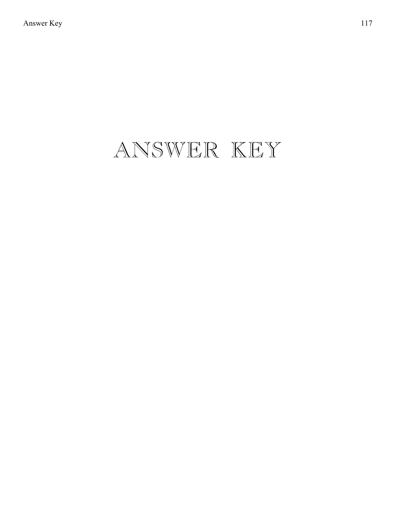# ANSWER KEY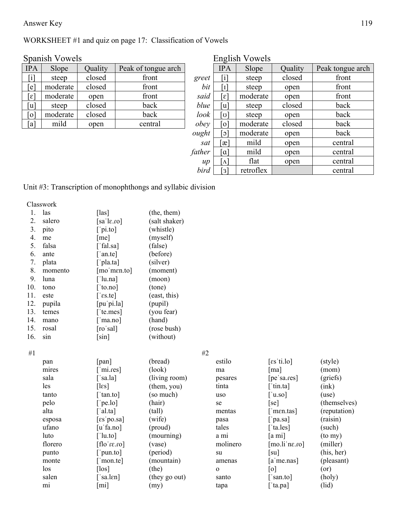#### Answer Key 119

#### WORKSHEET #1 and quiz on page 17: Classification of Vowels

|                             |          |         |                     |       | $\epsilon$                  |          |         |            |
|-----------------------------|----------|---------|---------------------|-------|-----------------------------|----------|---------|------------|
| <b>IPA</b>                  | Slope    | Ouality | Peak of tongue arch |       | <b>IPA</b>                  | Slope    | Quality | Peak tongu |
| $\lceil i \rceil$           | steep    | closed  | front               | greet | $\lceil i \rceil$           | steep    | closed  | front      |
| $\epsilon$                  | moderate | closed  | front               | bit   | [ז]                         | steep    | open    | front      |
| $\lceil \varepsilon \rceil$ | moderate | open    | front               | said  | $\lceil \varepsilon \rceil$ | moderate | open    | front      |
| ัน]                         | steep    | closed  | back                | blue  | ันไ                         | steep    | closed  | back       |
| [o]                         | moderate | closed  | back                | look  | ัชไ                         | steep    | open    | back       |
| [a]                         | mild     | open    | central             | obey  | $\sigma$                    | moderate | closed  | back       |
|                             |          |         |                     |       |                             |          |         |            |

| Spanish Vowels              |          |                |                     |             |                         | English Vowels |         |                  |  |
|-----------------------------|----------|----------------|---------------------|-------------|-------------------------|----------------|---------|------------------|--|
| <b>IPA</b>                  | Slope    | Quality        | Peak of tongue arch |             | <b>IPA</b>              | Slope          | Quality | Peak tongue arch |  |
| $[\mathrm{i}]$              | steep    | closed         | front               | greet       | [i]                     | steep          | closed  | front            |  |
| $\lceil e \rceil$           | moderate | closed         | front               | bit         | $\lceil 1 \rceil$       | steep          | open    | front            |  |
| $\lceil \varepsilon \rceil$ | moderate | open           | front               | said<br>[ε] |                         | moderate       | open    | front            |  |
| [u]                         | steep    | back<br>closed |                     | blue        | [u]                     | steep          | closed  | back             |  |
| $\lceil 0 \rceil$           | moderate | closed         | back                | look        | [ن]                     | steep          | open    | back             |  |
| [a]                         | mild     | open           | central             | obey        | [o]                     | moderate       | closed  | back             |  |
|                             |          |                |                     | ought       | $\lceil$ c $\rceil$     | moderate       | open    | back             |  |
|                             |          |                |                     | sat         | $\lceil x \rceil$       | mild           | open    | central          |  |
|                             |          |                |                     | father      | [a]                     | mild           | open    | central          |  |
|                             |          |                |                     | $\mu$       | $\lceil \Lambda \rceil$ | flat           | open    | central          |  |
|                             |          |                |                     | bird        | [3]                     | retroflex      |         | central          |  |

#### Unit #3: Transcription of monophthongs and syllabic division

Classwork

| 1.  | las     | $[$ las]                           | (the, them)   |              |                                        |              |
|-----|---------|------------------------------------|---------------|--------------|----------------------------------------|--------------|
| 2.  | salero  | [sa $\left[ \text{a} \right]$ .co] | (salt shaker) |              |                                        |              |
| 3.  | pito    | $[\ ]$ pi.to]                      | (whistle)     |              |                                        |              |
| 4.  | me      | [me]                               | (myself)      |              |                                        |              |
| 5.  | falsa   | [ $fallsa$ ]                       | (false)       |              |                                        |              |
| 6.  | ante    | $\lceil$ 'an.te]                   | (before)      |              |                                        |              |
| 7.  | plata   | $\lceil$ pla.ta]                   | (silver)      |              |                                        |              |
| 8.  | momento | [mo'men.to]                        | (moment)      |              |                                        |              |
| 9.  | luna    | $\lceil$ 'lu.na]                   | (moon)        |              |                                        |              |
| 10. | tono    | [tono]                             | (tone)        |              |                                        |              |
| 11. | este    | $\lceil$ 'es.te]                   | (east, this)  |              |                                        |              |
| 12. | pupila  | [pu'pi.la]                         | (pupil)       |              |                                        |              |
| 13. | temes   | ['te.mes]                          | (you fear)    |              |                                        |              |
| 14. | mano    | $\lceil$ 'ma.no]                   | (hand)        |              |                                        |              |
| 15. | rosal   | [ro'sal]                           | (rose bush)   |              |                                        |              |
| 16. | sin     | $\lceil \sin \rceil$               | (without)     |              |                                        |              |
| #1  |         |                                    | #2            |              |                                        |              |
|     | pan     | [pan]                              | (bread)       | estilo       | $\lceil \text{es}'\text{ti.lo} \rceil$ | (style)      |
|     | mires   | $\lceil$ 'mi.res]                  | (look)        | ma           | $\lceil ma \rceil$                     | (mom)        |
|     | sala    | $\lceil$ 'sa.la]                   | (living room) | pesares      | [pe'sa.res]                            | (griefs)     |
|     | les     | $[$ l $\epsilon$ s]                | (them, you)   | tinta        | $\lceil$ tin.ta]                       | (ink)        |
|     | tanto   | ['tan.to]                          | (so much)     | uso          | $\lceil$ 'u.so]                        | (use)        |
|     | pelo    | ['pe.lo]                           | (hair)        | se           | [se]                                   | (themselves) |
|     | alta    | $\lceil$ al.ta]                    | (tall)        | mentas       | $\lceil$ 'men.tas]                     | (reputation) |
|     | esposa  | $\lceil \text{es} \rceil$ po.sa]   | (wife)        | pasa         | $\lceil$ 'pa.sa]                       | (raisin)     |
|     | ufano   | [uˈfa.no]                          | (proud)       | tales        | ['ta.les]                              | (such)       |
|     | luto    | $\lceil$ 'lu.to]                   | (mourning)    | a mi         | [a mi]                                 | (to my)      |
|     | florero | $[01.31'$ oll]                     | (vase)        | molinero     | [mo.li'ne.co]                          | (miller)     |
|     | punto   | $[$ pun.to]                        | (period)      | su           | $\lceil su \rceil$                     | (his, her)   |
|     | monte   | ['mon.te]                          | (mountain)    | amenas       | $[a'$ me.nas]                          | (pleasant)   |
|     | los     | $[$ los $]$                        | (the)         | $\mathbf{o}$ | [0]                                    | (or)         |
|     | salen   | $\lceil$ 'sa.len]                  | (they go out) | santo        | ['san.to]                              | (holy)       |
|     | mi      | [mi]                               | (my)          | tapa         | ['ta.pa]                               | (iid)        |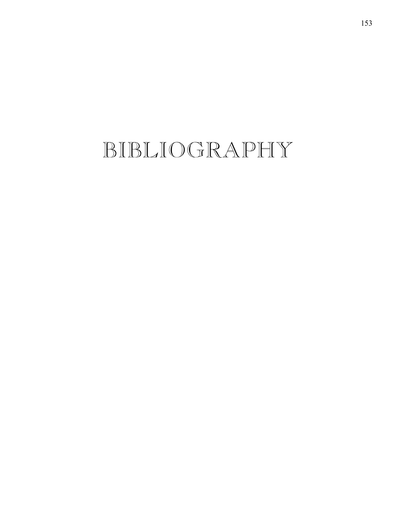# BIBLIOGRAPHY